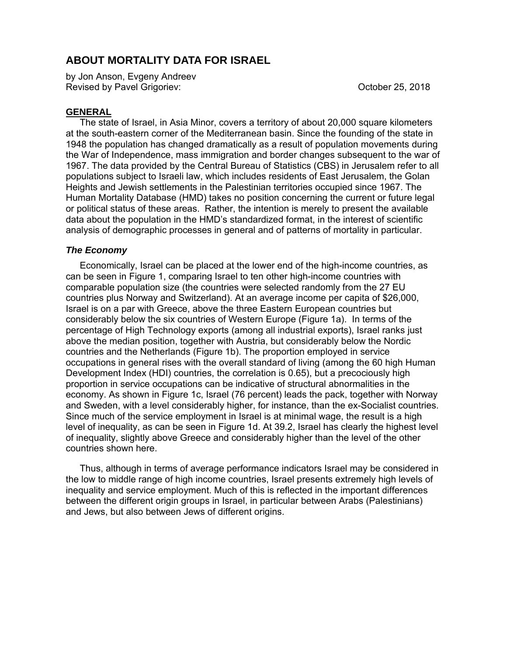## **ABOUT MORTALITY DATA FOR ISRAEL**

by Jon Anson, Evgeny Andreev Revised by Pavel Grigoriev: Contract Contract Contract Contract Contract Contract Contract Contract Contract Contract Contract Contract Contract Contract Contract Contract Contract Contract Contract Contract Contract Contr

## **GENERAL**

The state of Israel, in Asia Minor, covers a territory of about 20,000 square kilometers at the south-eastern corner of the Mediterranean basin. Since the founding of the state in 1948 the population has changed dramatically as a result of population movements during the War of Independence, mass immigration and border changes subsequent to the war of 1967. The data provided by the Central Bureau of Statistics (CBS) in Jerusalem refer to all populations subject to Israeli law, which includes residents of East Jerusalem, the Golan Heights and Jewish settlements in the Palestinian territories occupied since 1967. The Human Mortality Database (HMD) takes no position concerning the current or future legal or political status of these areas. Rather, the intention is merely to present the available data about the population in the HMD's standardized format, in the interest of scientific analysis of demographic processes in general and of patterns of mortality in particular.

## *The Economy*

Economically, Israel can be placed at the lower end of the high-income countries, as can be seen in Figure 1, comparing Israel to ten other high-income countries with comparable population size (the countries were selected randomly from the 27 EU countries plus Norway and Switzerland). At an average income per capita of \$26,000, Israel is on a par with Greece, above the three Eastern European countries but considerably below the six countries of Western Europe (Figure 1a). In terms of the percentage of High Technology exports (among all industrial exports), Israel ranks just above the median position, together with Austria, but considerably below the Nordic countries and the Netherlands (Figure 1b). The proportion employed in service occupations in general rises with the overall standard of living (among the 60 high Human Development Index (HDI) countries, the correlation is 0.65), but a precociously high proportion in service occupations can be indicative of structural abnormalities in the economy. As shown in Figure 1c, Israel (76 percent) leads the pack, together with Norway and Sweden, with a level considerably higher, for instance, than the ex-Socialist countries. Since much of the service employment in Israel is at minimal wage, the result is a high level of inequality, as can be seen in Figure 1d. At 39.2, Israel has clearly the highest level of inequality, slightly above Greece and considerably higher than the level of the other countries shown here.

Thus, although in terms of average performance indicators Israel may be considered in the low to middle range of high income countries, Israel presents extremely high levels of inequality and service employment. Much of this is reflected in the important differences between the different origin groups in Israel, in particular between Arabs (Palestinians) and Jews, but also between Jews of different origins.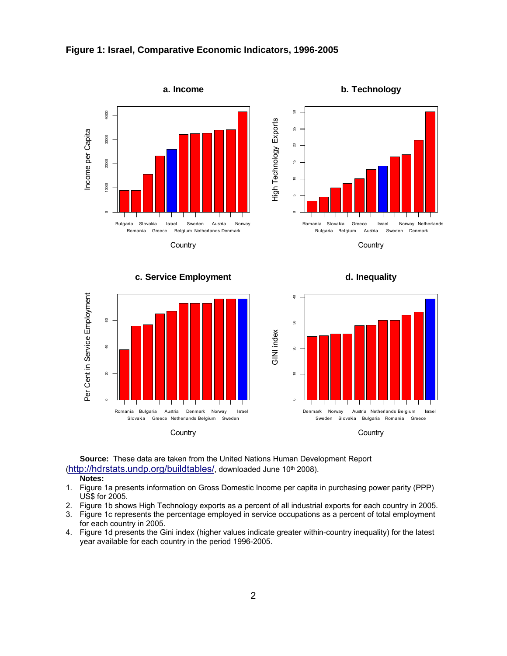

**Country** 



**Source:** These data are taken from the United Nations Human Development Report (http://hdrstats.undp.org/buildtables/, downloaded June 10th 2008).

#### **Notes:**

- 1. Figure 1a presents information on Gross Domestic Income per capita in purchasing power parity (PPP) US\$ for 2005.
- 2. Figure 1b shows High Technology exports as a percent of all industrial exports for each country in 2005.
- 3. Figure 1c represents the percentage employed in service occupations as a percent of total employment for each country in 2005.
- 4. Figure 1d presents the Gini index (higher values indicate greater within-country inequality) for the latest year available for each country in the period 1996-2005.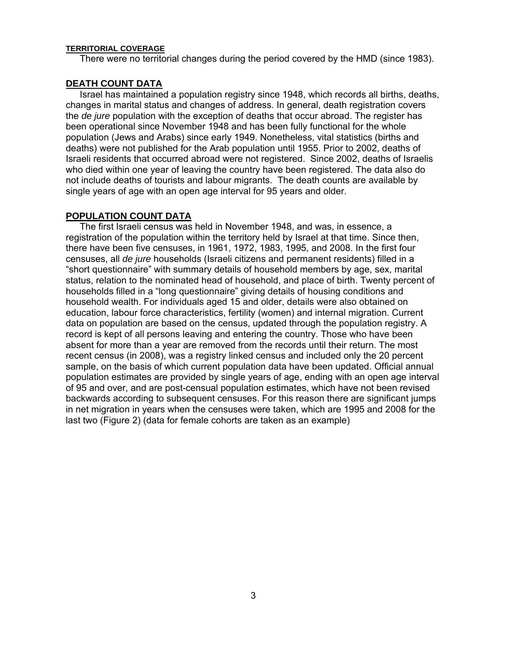#### **TERRITORIAL COVERAGE**

There were no territorial changes during the period covered by the HMD (since 1983).

## **DEATH COUNT DATA**

Israel has maintained a population registry since 1948, which records all births, deaths, changes in marital status and changes of address. In general, death registration covers the *de jure* population with the exception of deaths that occur abroad. The register has been operational since November 1948 and has been fully functional for the whole population (Jews and Arabs) since early 1949. Nonetheless, vital statistics (births and deaths) were not published for the Arab population until 1955. Prior to 2002, deaths of Israeli residents that occurred abroad were not registered. Since 2002, deaths of Israelis who died within one year of leaving the country have been registered. The data also do not include deaths of tourists and labour migrants. The death counts are available by single years of age with an open age interval for 95 years and older.

## **POPULATION COUNT DATA**

The first Israeli census was held in November 1948, and was, in essence, a registration of the population within the territory held by Israel at that time. Since then, there have been five censuses, in 1961, 1972, 1983, 1995, and 2008. In the first four censuses, all *de jure* households (Israeli citizens and permanent residents) filled in a "short questionnaire" with summary details of household members by age, sex, marital status, relation to the nominated head of household, and place of birth. Twenty percent of households filled in a "long questionnaire" giving details of housing conditions and household wealth. For individuals aged 15 and older, details were also obtained on education, labour force characteristics, fertility (women) and internal migration. Current data on population are based on the census, updated through the population registry. A record is kept of all persons leaving and entering the country. Those who have been absent for more than a year are removed from the records until their return. The most recent census (in 2008), was a registry linked census and included only the 20 percent sample, on the basis of which current population data have been updated. Official annual population estimates are provided by single years of age, ending with an open age interval of 95 and over, and are post-censual population estimates, which have not been revised backwards according to subsequent censuses. For this reason there are significant jumps in net migration in years when the censuses were taken, which are 1995 and 2008 for the last two (Figure 2) (data for female cohorts are taken as an example)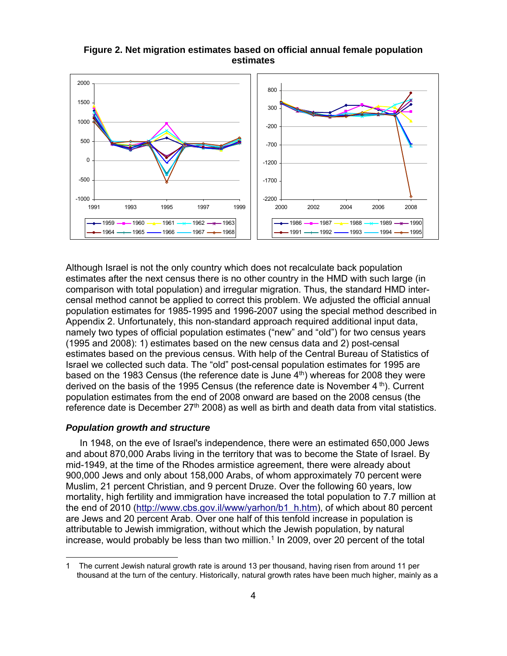## **Figure 2. Net migration estimates based on official annual female population estimates**



Although Israel is not the only country which does not recalculate back population estimates after the next census there is no other country in the HMD with such large (in comparison with total population) and irregular migration. Thus, the standard HMD intercensal method cannot be applied to correct this problem. We adjusted the official annual population estimates for 1985-1995 and 1996-2007 using the special method described in Appendix 2. Unfortunately, this non-standard approach required additional input data, namely two types of official population estimates ("new" and "old") for two census years (1995 and 2008): 1) estimates based on the new census data and 2) post-censal estimates based on the previous census. With help of the Central Bureau of Statistics of Israel we collected such data. The "old" post-censal population estimates for 1995 are based on the 1983 Census (the reference date is June  $4<sup>th</sup>$ ) whereas for 2008 they were derived on the basis of the 1995 Census (the reference date is November 4 th). Current population estimates from the end of 2008 onward are based on the 2008 census (the reference date is December  $27<sup>th</sup> 2008$ ) as well as birth and death data from vital statistics.

## *Population growth and structure*

 $\overline{a}$ 

In 1948, on the eve of Israel's independence, there were an estimated 650,000 Jews and about 870,000 Arabs living in the territory that was to become the State of Israel. By mid-1949, at the time of the Rhodes armistice agreement, there were already about 900,000 Jews and only about 158,000 Arabs, of whom approximately 70 percent were Muslim, 21 percent Christian, and 9 percent Druze. Over the following 60 years, low mortality, high fertility and immigration have increased the total population to 7.7 million at the end of 2010 (http://www.cbs.gov.il/www/yarhon/b1\_h.htm), of which about 80 percent are Jews and 20 percent Arab. Over one half of this tenfold increase in population is attributable to Jewish immigration, without which the Jewish population, by natural increase, would probably be less than two million.1 In 2009, over 20 percent of the total

<sup>1</sup> The current Jewish natural growth rate is around 13 per thousand, having risen from around 11 per thousand at the turn of the century. Historically, natural growth rates have been much higher, mainly as a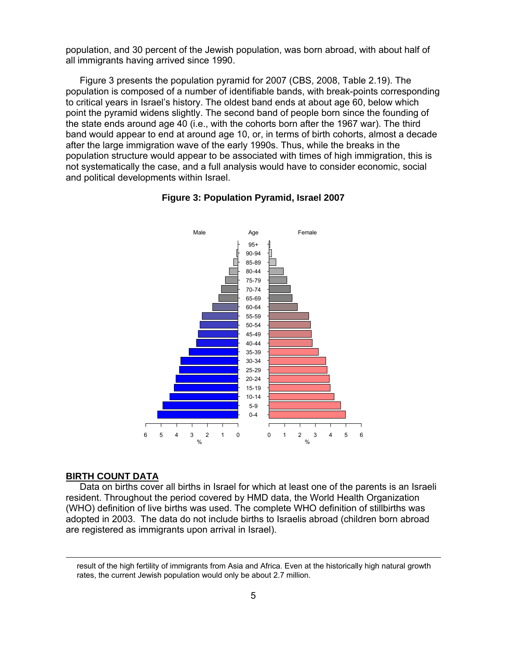population, and 30 percent of the Jewish population, was born abroad, with about half of all immigrants having arrived since 1990.

Figure 3 presents the population pyramid for 2007 (CBS, 2008, Table 2.19). The population is composed of a number of identifiable bands, with break-points corresponding to critical years in Israel's history. The oldest band ends at about age 60, below which point the pyramid widens slightly. The second band of people born since the founding of the state ends around age 40 (i.e., with the cohorts born after the 1967 war). The third band would appear to end at around age 10, or, in terms of birth cohorts, almost a decade after the large immigration wave of the early 1990s. Thus, while the breaks in the population structure would appear to be associated with times of high immigration, this is not systematically the case, and a full analysis would have to consider economic, social and political developments within Israel.





#### **BIRTH COUNT DATA**

Data on births cover all births in Israel for which at least one of the parents is an Israeli resident. Throughout the period covered by HMD data, the World Health Organization (WHO) definition of live births was used. The complete WHO definition of stillbirths was adopted in 2003. The data do not include births to Israelis abroad (children born abroad are registered as immigrants upon arrival in Israel).

result of the high fertility of immigrants from Asia and Africa. Even at the historically high natural growth rates, the current Jewish population would only be about 2.7 million.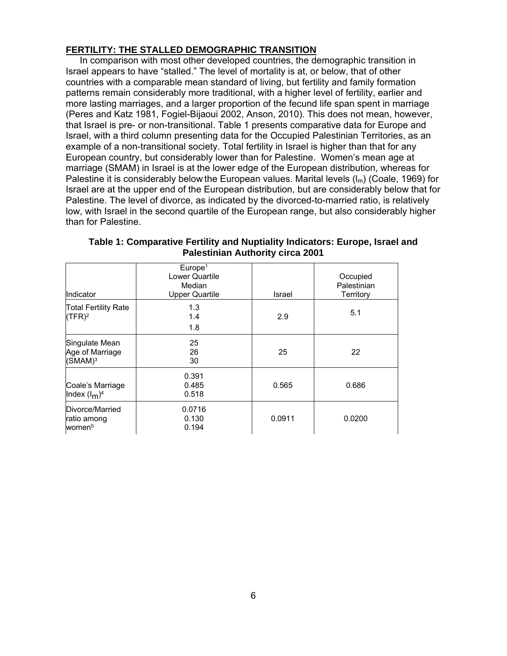## **FERTILITY: THE STALLED DEMOGRAPHIC TRANSITION**

In comparison with most other developed countries, the demographic transition in Israel appears to have "stalled." The level of mortality is at, or below, that of other countries with a comparable mean standard of living, but fertility and family formation patterns remain considerably more traditional, with a higher level of fertility, earlier and more lasting marriages, and a larger proportion of the fecund life span spent in marriage (Peres and Katz 1981, Fogiel-Bijaoui 2002, Anson, 2010). This does not mean, however, that Israel is pre- or non-transitional. Table 1 presents comparative data for Europe and Israel, with a third column presenting data for the Occupied Palestinian Territories, as an example of a non-transitional society. Total fertility in Israel is higher than that for any European country, but considerably lower than for Palestine. Women's mean age at marriage (SMAM) in Israel is at the lower edge of the European distribution, whereas for Palestine it is considerably below the European values. Marital levels  $(I_m)$  (Coale, 1969) for Israel are at the upper end of the European distribution, but are considerably below that for Palestine. The level of divorce, as indicated by the divorced-to-married ratio, is relatively low, with Israel in the second quartile of the European range, but also considerably higher than for Palestine.

| Indicator                                                | Europe <sup>1</sup><br>Lower Quartile<br>Median<br><b>Upper Quartile</b> | Israel | Occupied<br>Palestinian<br>Territory |
|----------------------------------------------------------|--------------------------------------------------------------------------|--------|--------------------------------------|
| <b>Total Fertility Rate</b><br>(TFR) <sup>2</sup>        | 1.3<br>1.4<br>1.8                                                        | 2.9    | 5.1                                  |
| Singulate Mean<br>Age of Marriage<br>(SMAM) <sup>3</sup> | 25<br>26<br>30                                                           | 25     | 22                                   |
| Coale's Marriage<br>Index $(I_m)^4$                      | 0.391<br>0.485<br>0.518                                                  | 0.565  | 0.686                                |
| Divorce/Married<br>ratio among<br>women <sup>5</sup>     | 0.0716<br>0.130<br>0.194                                                 | 0.0911 | 0.0200                               |

**Table 1: Comparative Fertility and Nuptiality Indicators: Europe, Israel and Palestinian Authority circa 2001**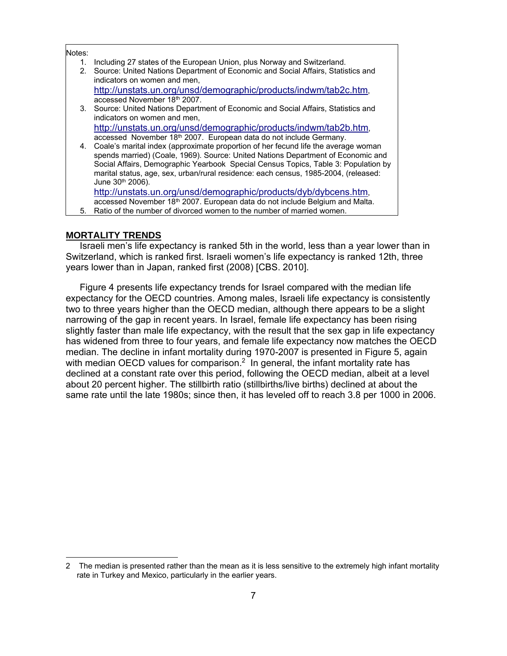#### Notes:

1. Including 27 states of the European Union, plus Norway and Switzerland.

2. Source: United Nations Department of Economic and Social Affairs, Statistics and indicators on women and men,

http://unstats.un.org/unsd/demographic/products/indwm/tab2c.htm, accessed November 18th 2007.

3. Source: United Nations Department of Economic and Social Affairs, Statistics and indicators on women and men, http://unstats.un.org/unsd/demographic/products/indwm/tab2b.htm,

accessed November 18th 2007. European data do not include Germany. 4. Coale's marital index (approximate proportion of her fecund life the average woman spends married) (Coale, 1969). Source: United Nations Department of Economic and Social Affairs, Demographic Yearbook Special Census Topics, Table 3: Population by marital status, age, sex, urban/rural residence: each census, 1985-2004, (released: June 30th 2006). http://unstats.un.org/unsd/demographic/products/dyb/dybcens.htm,

accessed November 18<sup>th</sup> 2007. European data do not include Belgium and Malta.

5. Ratio of the number of divorced women to the number of married women.

## **MORTALITY TRENDS**

 $\overline{a}$ 

Israeli men's life expectancy is ranked 5th in the world, less than a year lower than in Switzerland, which is ranked first. Israeli women's life expectancy is ranked 12th, three years lower than in Japan, ranked first (2008) [CBS. 2010].

Figure 4 presents life expectancy trends for Israel compared with the median life expectancy for the OECD countries. Among males, Israeli life expectancy is consistently two to three years higher than the OECD median, although there appears to be a slight narrowing of the gap in recent years. In Israel, female life expectancy has been rising slightly faster than male life expectancy, with the result that the sex gap in life expectancy has widened from three to four years, and female life expectancy now matches the OECD median. The decline in infant mortality during 1970-2007 is presented in Figure 5, again with median OECD values for comparison.<sup>2</sup> In general, the infant mortality rate has declined at a constant rate over this period, following the OECD median, albeit at a level about 20 percent higher. The stillbirth ratio (stillbirths/live births) declined at about the same rate until the late 1980s; since then, it has leveled off to reach 3.8 per 1000 in 2006.

<sup>2</sup> The median is presented rather than the mean as it is less sensitive to the extremely high infant mortality rate in Turkey and Mexico, particularly in the earlier years.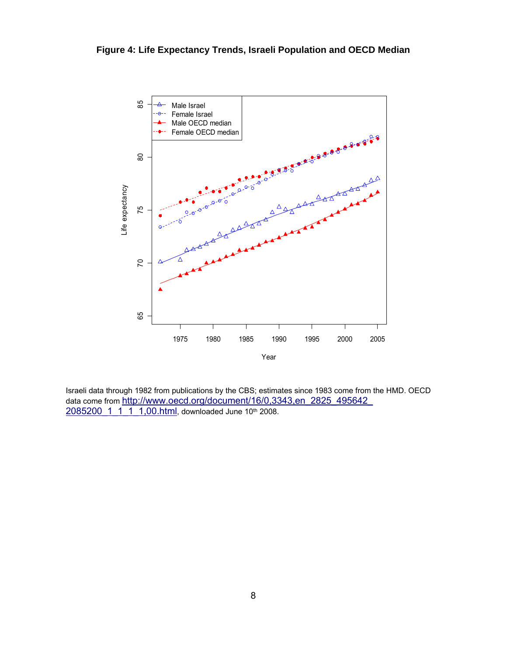

Israeli data through 1982 from publications by the CBS; estimates since 1983 come from the HMD. OECD data come from http://www.oecd.org/document/16/0,3343,en\_2825\_495642 2085200 1 1 1 1,00.html, downloaded June 10th 2008.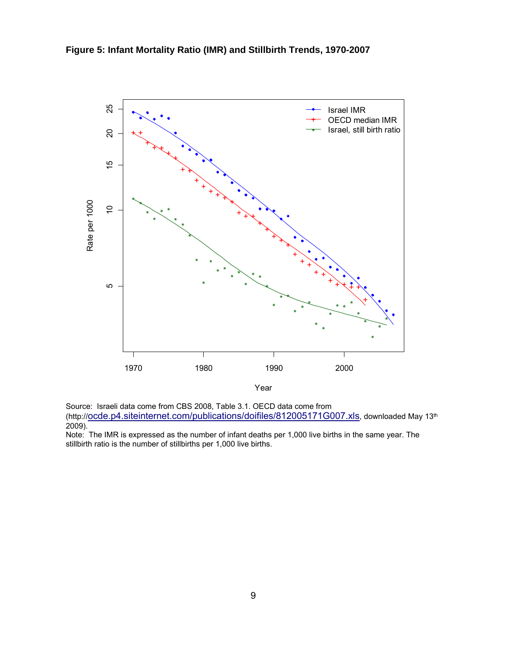

Source: Israeli data come from CBS 2008, Table 3.1. OECD data come from (http://ocde.p4.siteinternet.com/publications/doifiles/812005171G007.xls, downloaded May 13<sup>th</sup>  $2009$ ).

Note: The IMR is expressed as the number of infant deaths per 1,000 live births in the same year. The stillbirth ratio is the number of stillbirths per 1,000 live births.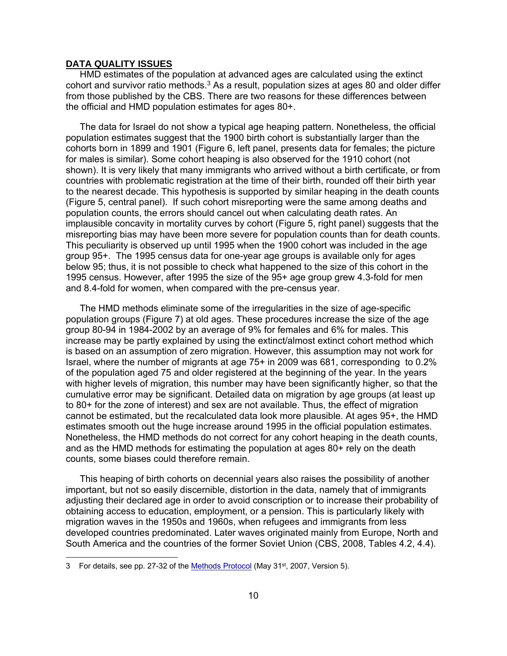### **DATA QUALITY ISSUES**

HMD estimates of the population at advanced ages are calculated using the extinct cohort and survivor ratio methods.<sup>3</sup> As a result, population sizes at ages 80 and older differ from those published by the CBS. There are two reasons for these differences between the official and HMD population estimates for ages 80+.

The data for Israel do not show a typical age heaping pattern. Nonetheless, the official population estimates suggest that the 1900 birth cohort is substantially larger than the cohorts born in 1899 and 1901 (Figure 6, left panel, presents data for females; the picture for males is similar). Some cohort heaping is also observed for the 1910 cohort (not shown). It is very likely that many immigrants who arrived without a birth certificate, or from countries with problematic registration at the time of their birth, rounded off their birth year to the nearest decade. This hypothesis is supported by similar heaping in the death counts (Figure 5, central panel). If such cohort misreporting were the same among deaths and population counts, the errors should cancel out when calculating death rates. An implausible concavity in mortality curves by cohort (Figure 5, right panel) suggests that the misreporting bias may have been more severe for population counts than for death counts. This peculiarity is observed up until 1995 when the 1900 cohort was included in the age group 95+. The 1995 census data for one-year age groups is available only for ages below 95; thus, it is not possible to check what happened to the size of this cohort in the 1995 census. However, after 1995 the size of the 95+ age group grew 4.3-fold for men and 8.4-fold for women, when compared with the pre-census year.

The HMD methods eliminate some of the irregularities in the size of age-specific population groups (Figure 7) at old ages. These procedures increase the size of the age group 80-94 in 1984-2002 by an average of 9% for females and 6% for males. This increase may be partly explained by using the extinct/almost extinct cohort method which is based on an assumption of zero migration. However, this assumption may not work for Israel, where the number of migrants at age 75+ in 2009 was 681, corresponding to 0.2% of the population aged 75 and older registered at the beginning of the year. In the years with higher levels of migration, this number may have been significantly higher, so that the cumulative error may be significant. Detailed data on migration by age groups (at least up to 80+ for the zone of interest) and sex are not available. Thus, the effect of migration cannot be estimated, but the recalculated data look more plausible. At ages 95+, the HMD estimates smooth out the huge increase around 1995 in the official population estimates. Nonetheless, the HMD methods do not correct for any cohort heaping in the death counts, and as the HMD methods for estimating the population at ages 80+ rely on the death counts, some biases could therefore remain.

This heaping of birth cohorts on decennial years also raises the possibility of another important, but not so easily discernible, distortion in the data, namely that of immigrants adjusting their declared age in order to avoid conscription or to increase their probability of obtaining access to education, employment, or a pension. This is particularly likely with migration waves in the 1950s and 1960s, when refugees and immigrants from less developed countries predominated. Later waves originated mainly from Europe, North and South America and the countries of the former Soviet Union (CBS, 2008, Tables 4.2, 4.4).

 $\overline{a}$ 

<sup>3</sup> For details, see pp. 27-32 of the Methods Protocol (May 31st, 2007, Version 5).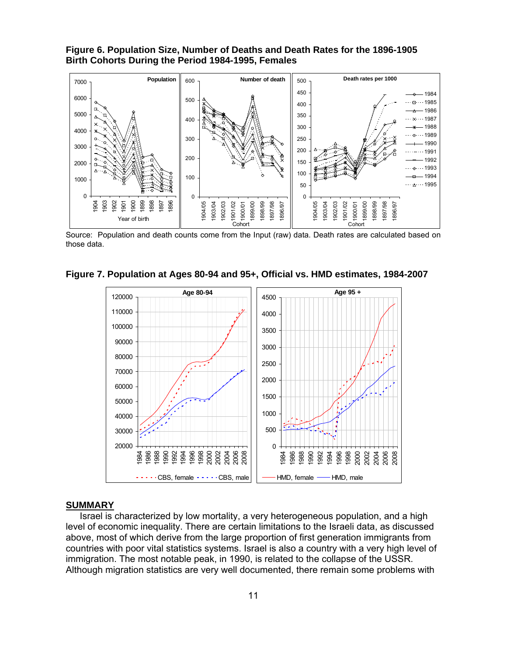**Figure 6. Population Size, Number of Deaths and Death Rates for the 1896-1905 Birth Cohorts During the Period 1984-1995, Females** 



Source: Population and death counts come from the Input (raw) data. Death rates are calculated based on those data.





#### **SUMMARY**

Israel is characterized by low mortality, a very heterogeneous population, and a high level of economic inequality. There are certain limitations to the Israeli data, as discussed above, most of which derive from the large proportion of first generation immigrants from countries with poor vital statistics systems. Israel is also a country with a very high level of immigration. The most notable peak, in 1990, is related to the collapse of the USSR. Although migration statistics are very well documented, there remain some problems with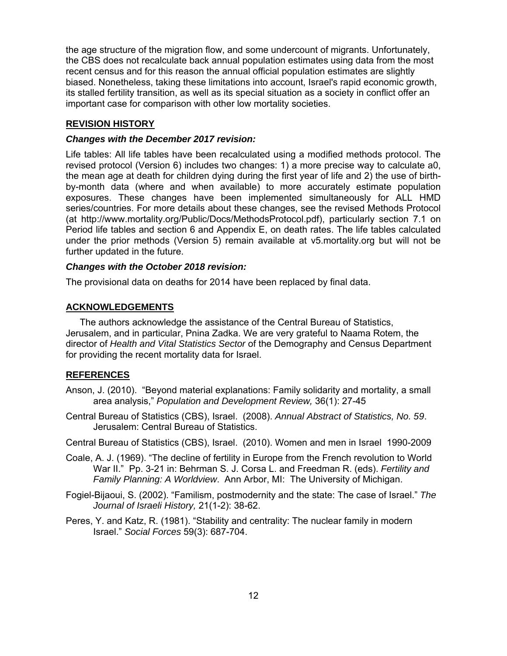the age structure of the migration flow, and some undercount of migrants. Unfortunately, the CBS does not recalculate back annual population estimates using data from the most recent census and for this reason the annual official population estimates are slightly biased. Nonetheless, taking these limitations into account, Israel's rapid economic growth, its stalled fertility transition, as well as its special situation as a society in conflict offer an important case for comparison with other low mortality societies.

## **REVISION HISTORY**

## *Changes with the December 2017 revision:*

Life tables: All life tables have been recalculated using a modified methods protocol. The revised protocol (Version 6) includes two changes: 1) a more precise way to calculate a0, the mean age at death for children dying during the first year of life and 2) the use of birthby-month data (where and when available) to more accurately estimate population exposures. These changes have been implemented simultaneously for ALL HMD series/countries. For more details about these changes, see the revised Methods Protocol (at http://www.mortality.org/Public/Docs/MethodsProtocol.pdf), particularly section 7.1 on Period life tables and section 6 and Appendix E, on death rates. The life tables calculated under the prior methods (Version 5) remain available at v5.mortality.org but will not be further updated in the future.

### *Changes with the October 2018 revision:*

The provisional data on deaths for 2014 have been replaced by final data.

## **ACKNOWLEDGEMENTS**

The authors acknowledge the assistance of the Central Bureau of Statistics, Jerusalem, and in particular, Pnina Zadka. We are very grateful to Naama Rotem, the director of *Health and Vital Statistics Sector* of the Demography and Census Department for providing the recent mortality data for Israel.

## **REFERENCES**

- Anson, J. (2010). "Beyond material explanations: Family solidarity and mortality, a small area analysis," *Population and Development Review,* 36(1): 27-45
- Central Bureau of Statistics (CBS), Israel. (2008). *Annual Abstract of Statistics, No. 59*. Jerusalem: Central Bureau of Statistics.
- Central Bureau of Statistics (CBS), Israel. (2010). Women and men in Israel 1990-2009
- Coale, A. J. (1969). "The decline of fertility in Europe from the French revolution to World War II." Pp. 3-21 in: Behrman S. J. Corsa L. and Freedman R. (eds). *Fertility and Family Planning: A Worldview*. Ann Arbor, MI: The University of Michigan.
- Fogiel-Bijaoui, S. (2002). "Familism, postmodernity and the state: The case of Israel." *The Journal of Israeli History,* 21(1-2): 38-62.
- Peres, Y. and Katz, R. (1981). "Stability and centrality: The nuclear family in modern Israel." *Social Forces* 59(3): 687-704.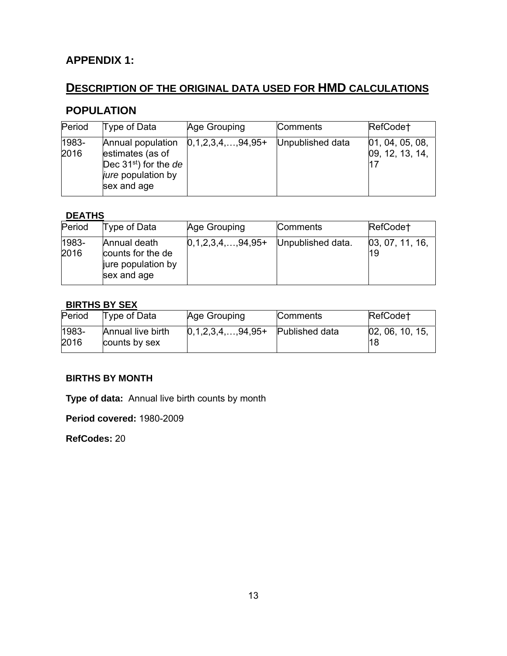## **APPENDIX 1:**

# **DESCRIPTION OF THE ORIGINAL DATA USED FOR HMD CALCULATIONS**

## **POPULATION**

| Period        | Type of Data                                                                                               | Age Grouping         | Comments         | RefCode†                                   |
|---------------|------------------------------------------------------------------------------------------------------------|----------------------|------------------|--------------------------------------------|
| 1983-<br>2016 | Annual population<br>estimates (as of<br>Dec $31st$ for the de<br><i>jure</i> population by<br>sex and age | $[0,1,2,3,4,,94,95+$ | Unpublished data | [01, 04, 05, 08,<br>09, 12, 13, 14,<br>117 |

## **DEATHS**

| Period        | Type of Data                                                           | Age Grouping         | <b>Comments</b>   | RefCode†               |
|---------------|------------------------------------------------------------------------|----------------------|-------------------|------------------------|
| 1983-<br>2016 | Annual death<br>counts for the de<br>jure population by<br>sex and age | $[0,1,2,3,4,,94,95+$ | Unpublished data. | [03, 07, 11, 16,<br>19 |

## **BIRTHS BY SEX**

| Period        | Type of Data                       | Age Grouping         | <b>Comments</b> | RefCode†               |
|---------------|------------------------------------|----------------------|-----------------|------------------------|
| 1983-<br>2016 | Annual live birth<br>counts by sex | $[0,1,2,3,4,,94,95+$ | Published data  | [02, 06, 10, 15]<br>18 |

## **BIRTHS BY MONTH**

**Type of data:** Annual live birth counts by month

**Period covered:** 1980-2009

**RefCodes:** 20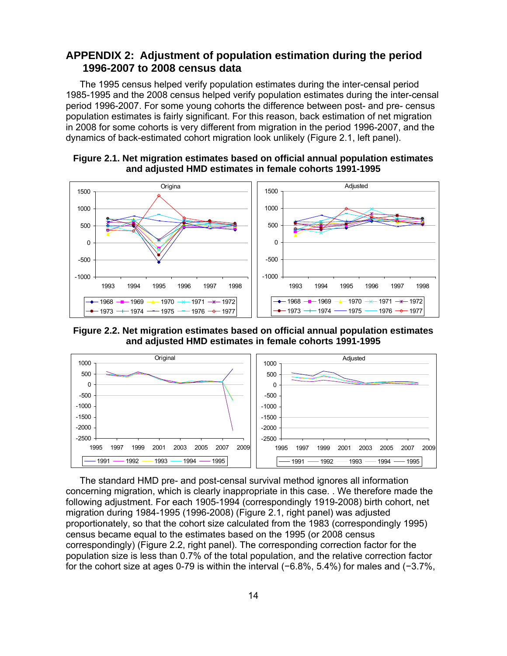## **APPENDIX 2: Adjustment of population estimation during the period 1996-2007 to 2008 census data**

The 1995 census helped verify population estimates during the inter-censal period 1985-1995 and the 2008 census helped verify population estimates during the inter-censal period 1996-2007. For some young cohorts the difference between post- and pre- census population estimates is fairly significant. For this reason, back estimation of net migration in 2008 for some cohorts is very different from migration in the period 1996-2007, and the dynamics of back-estimated cohort migration look unlikely (Figure 2.1, left panel).





**Figure 2.2. Net migration estimates based on official annual population estimates and adjusted HMD estimates in female cohorts 1991-1995** 



The standard HMD pre- and post-censal survival method ignores all information concerning migration, which is clearly inappropriate in this case. . We therefore made the following adjustment. For each 1905-1994 (correspondingly 1919-2008) birth cohort, net migration during 1984-1995 (1996-2008) (Figure 2.1, right panel) was adjusted proportionately, so that the cohort size calculated from the 1983 (correspondingly 1995) census became equal to the estimates based on the 1995 (or 2008 census correspondingly) (Figure 2.2, right panel). The corresponding correction factor for the population size is less than 0.7% of the total population, and the relative correction factor for the cohort size at ages 0-79 is within the interval (−6.8%, 5.4%) for males and (−3.7%,